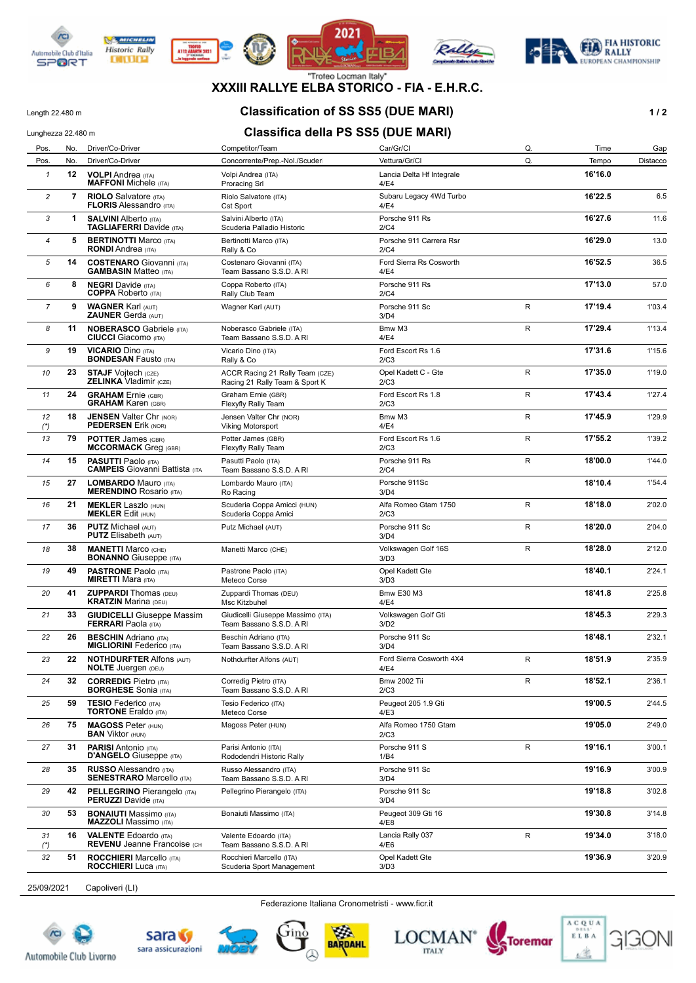









**XXXIII RALLYE ELBA STORICO - FIA - E.H.R.C.**

## Length 22.480 m **Classification of SS SS5 (DUE MARI) 1 / 2**

# Lunghezza 22.480 m **Classifica della PS SS5 (DUE MARI)**

| Pos.           | No.            | Driver/Co-Driver                                                    | Competitor/Team                                                   | Car/Gr/Cl                         | Q.          | Time    | Gap      |
|----------------|----------------|---------------------------------------------------------------------|-------------------------------------------------------------------|-----------------------------------|-------------|---------|----------|
| Pos.           | No.            | Driver/Co-Driver                                                    | Concorrente/Prep.-Nol./Scuder                                     | Vettura/Gr/Cl                     | Q.          | Tempo   | Distacco |
| $\mathbf{1}$   | 12             | <b>VOLPI</b> Andrea (ITA)<br><b>MAFFONI</b> Michele (ITA)           | Volpi Andrea (ITA)<br><b>Proracing Srl</b>                        | Lancia Delta Hf Integrale<br>4/E4 |             | 16'16.0 |          |
| 2              | $\overline{7}$ | <b>RIOLO</b> Salvatore (ITA)<br><b>FLORIS Alessandro (ITA)</b>      | Riolo Salvatore (ITA)<br>Cst Sport                                | Subaru Legacy 4Wd Turbo<br>4/E4   |             | 16'22.5 | 6.5      |
| 3              | 1              | <b>SALVINI Alberto (ITA)</b><br><b>TAGLIAFERRI</b> Davide (ITA)     | Salvini Alberto (ITA)<br>Scuderia Palladio Historic               | Porsche 911 Rs<br>2/C4            |             | 16'27.6 | 11.6     |
| 4              | 5              | <b>BERTINOTTI Marco (ITA)</b><br><b>RONDI</b> Andrea (ITA)          | Bertinotti Marco (ITA)<br>Rally & Co                              | Porsche 911 Carrera Rsr<br>2/C4   |             | 16'29.0 | 13.0     |
| 5              | 14             | <b>COSTENARO</b> Giovanni (ITA)<br><b>GAMBASIN Matteo (ITA)</b>     | Costenaro Giovanni (ITA)<br>Team Bassano S.S.D. A RI              | Ford Sierra Rs Cosworth<br>4/E4   |             | 16'52.5 | 36.5     |
| 6              | 8              | <b>NEGRI</b> Davide (ITA)<br><b>COPPA</b> Roberto (ITA)             | Coppa Roberto (ITA)<br>Rally Club Team                            | Porsche 911 Rs<br>2/C4            |             | 17'13.0 | 57.0     |
| $\overline{7}$ | 9              | <b>WAGNER Karl (AUT)</b><br><b>ZAUNER Gerda (AUT)</b>               | Wagner Karl (AUT)                                                 | Porsche 911 Sc<br>3/D4            | R           | 17'19.4 | 1'03.4   |
| 8              | 11             | <b>NOBERASCO</b> Gabriele (ITA)<br><b>CIUCCI</b> Giacomo (ITA)      | Noberasco Gabriele (ITA)<br>Team Bassano S.S.D. A RI              | Bmw M3<br>4/E4                    | R           | 17'29.4 | 1'13.4   |
| 9              | 19             | <b>VICARIO Dino (ITA)</b><br><b>BONDESAN Fausto (ITA)</b>           | Vicario Dino (ITA)<br>Rally & Co                                  | Ford Escort Rs 1.6<br>2/C3        |             | 17'31.6 | 1'15.6   |
| 10             | 23             | <b>STAJF Vojtech (CZE)</b><br><b>ZELINKA Vladimir (CZE)</b>         | ACCR Racing 21 Rally Team (CZE)<br>Racing 21 Rally Team & Sport K | Opel Kadett C - Gte<br>2/C3       | R           | 17'35.0 | 1'19.0   |
| 11             | 24             | <b>GRAHAM</b> Ernie (GBR)<br><b>GRAHAM Karen (GBR)</b>              | Graham Ernie (GBR)<br>Flexyfly Rally Team                         | Ford Escort Rs 1.8<br>2/C3        | R           | 17'43.4 | 1'27.4   |
| 12<br>$(*)$    | 18             | <b>JENSEN Valter Chr (NOR)</b><br><b>PEDERSEN Erik (NOR)</b>        | Jensen Valter Chr (NOR)<br>Viking Motorsport                      | Bmw M3<br>4/E4                    | $\mathsf R$ | 17'45.9 | 1'29.9   |
| 13             | 79             | <b>POTTER James (GBR)</b><br><b>MCCORMACK</b> Greq (GBR)            | Potter James (GBR)<br>Flexyfly Rally Team                         | Ford Escort Rs 1.6<br>2/C3        | R           | 17'55.2 | 1'39.2   |
| 14             | 15             | <b>PASUTTI Paolo (ITA)</b><br><b>CAMPEIS</b> Giovanni Battista (ITA | Pasutti Paolo (ITA)<br>Team Bassano S.S.D. A RI                   | Porsche 911 Rs<br>2/C4            | R           | 18'00.0 | 1'44.0   |
| 15             | 27             | <b>LOMBARDO Mauro (ITA)</b><br><b>MERENDINO Rosario (ITA)</b>       | Lombardo Mauro (ITA)<br>Ro Racing                                 | Porsche 911Sc<br>3/D4             |             | 18'10.4 | 1'54.4   |
| 16             | 21             | <b>MEKLER Laszlo (HUN)</b><br><b>MEKLER Edit (HUN)</b>              | Scuderia Coppa Amicci (HUN)<br>Scuderia Coppa Amici               | Alfa Romeo Gtam 1750<br>2/C3      | R           | 18'18.0 | 2'02.0   |
| 17             | 36             | <b>PUTZ Michael (AUT)</b><br><b>PUTZ</b> Elisabeth (AUT)            | Putz Michael (AUT)                                                | Porsche 911 Sc<br>3/D4            | R           | 18'20.0 | 2'04.0   |
| 18             | 38             | <b>MANETTI Marco (CHE)</b><br><b>BONANNO</b> Giuseppe (ITA)         | Manetti Marco (CHE)                                               | Volkswagen Golf 16S<br>3/D3       | R           | 18'28.0 | 2'12.0   |
| 19             | 49             | <b>PASTRONE Paolo (ITA)</b><br><b>MIRETTI Mara (ITA)</b>            | Pastrone Paolo (ITA)<br>Meteco Corse                              | Opel Kadett Gte<br>3/D3           |             | 18'40.1 | 2'24.1   |
| 20             | 41             | <b>ZUPPARDI</b> Thomas (DEU)<br><b>KRATZIN Marina (DEU)</b>         | Zuppardi Thomas (DEU)<br><b>Msc Kitzbuhel</b>                     | <b>Bmw E30 M3</b><br>4/E4         |             | 18'41.8 | 2'25.8   |
| 21             | 33             | <b>GIUDICELLI</b> Giuseppe Massim<br><b>FERRARI</b> Paola (ITA)     | Giudicelli Giuseppe Massimo (ITA)<br>Team Bassano S.S.D. A RI     | Volkswagen Golf Gti<br>3/D2       |             | 18'45.3 | 2'29.3   |
| 22             | 26             | <b>BESCHIN</b> Adriano (ITA)<br><b>MIGLIORINI Federico</b> (ITA)    | Beschin Adriano (ITA)<br>Team Bassano S.S.D. A RI                 | Porsche 911 Sc<br>3/D4            |             | 18'48.1 | 2'32.1   |
| 23             | 22             | <b>NOTHDURFTER Alfons (AUT)</b><br><b>NOLIE</b> Juergen (DEU)       | Nothdurfter Alfons (AUT)                                          | Ford Sierra Cosworth 4X4<br>4/E4  | R           | 18'51.9 | 2'35.9   |
| 24             | 32             | <b>CORREDIG Pietro (ITA)</b><br><b>BORGHESE</b> Sonia (ITA)         | Corredig Pietro (ITA)<br>Team Bassano S.S.D. A RI                 | <b>Bmw 2002 Tii</b><br>2/C3       | R           | 18'52.1 | 2'36.1   |
| 25             | 59             | <b>TESIO Federico</b> (ITA)<br><b>TORTONE</b> Eraldo (ITA)          | Tesio Federico (ITA)<br>Meteco Corse                              | Peugeot 205 1.9 Gti<br>4/E3       |             | 19'00.5 | 2'44.5   |
| 26             | 75             | <b>MAGOSS Peter (HUN)</b><br><b>BAN</b> Viktor (HUN)                | Magoss Peter (HUN)                                                | Alfa Romeo 1750 Gtam<br>2/C3      |             | 19'05.0 | 2'49.0   |
| 27             | 31             | <b>PARISI</b> Antonio (ITA)<br><b>D'ANGELO</b> Giuseppe (ITA)       | Parisi Antonio (ITA)<br>Rododendri Historic Rally                 | Porsche 911 S<br>1/B4             | R           | 19'16.1 | 3'00.1   |
| 28             | 35             | <b>RUSSO Alessandro (ITA)</b><br><b>SENESTRARO</b> Marcello (ITA)   | Russo Alessandro (ITA)<br>Team Bassano S.S.D. A RI                | Porsche 911 Sc<br>3/D4            |             | 19'16.9 | 3'00.9   |
| 29             | 42             | <b>PELLEGRINO</b> Pierangelo (ITA)<br><b>PERUZZI</b> Davide (ITA)   | Pellegrino Pierangelo (ITA)                                       | Porsche 911 Sc<br>3/D4            |             | 19'18.8 | 3'02.8   |
| 30             | 53             | <b>BONAIUTI Massimo</b> (ITA)<br><b>MAZZOLI</b> Massimo (ITA)       | Bonaiuti Massimo (ITA)                                            | Peugeot 309 Gti 16<br>4/E8        |             | 19'30.8 | 3'14.8   |
| 31<br>$(*)$    | 16             | <b>VALENTE Edoardo</b> (ITA)<br><b>REVENU Jeanne Francoise (CH</b>  | Valente Edoardo (ITA)<br>Team Bassano S.S.D. A RI                 | Lancia Rally 037<br>4/E6          | R           | 19'34.0 | 3'18.0   |
| 32             | 51             | <b>ROCCHIERI</b> Marcello (ITA)<br><b>ROCCHIERI</b> Luca (ITA)      | Rocchieri Marcello (ITA)<br>Scuderia Sport Management             | Opel Kadett Gte<br>3/D3           |             | 19'36.9 | 3'20.9   |
|                |                |                                                                     |                                                                   |                                   |             |         |          |

25/09/2021 Capoliveri (LI)

Federazione Italiana Cronometristi - www.ficr.it







BARDAHL